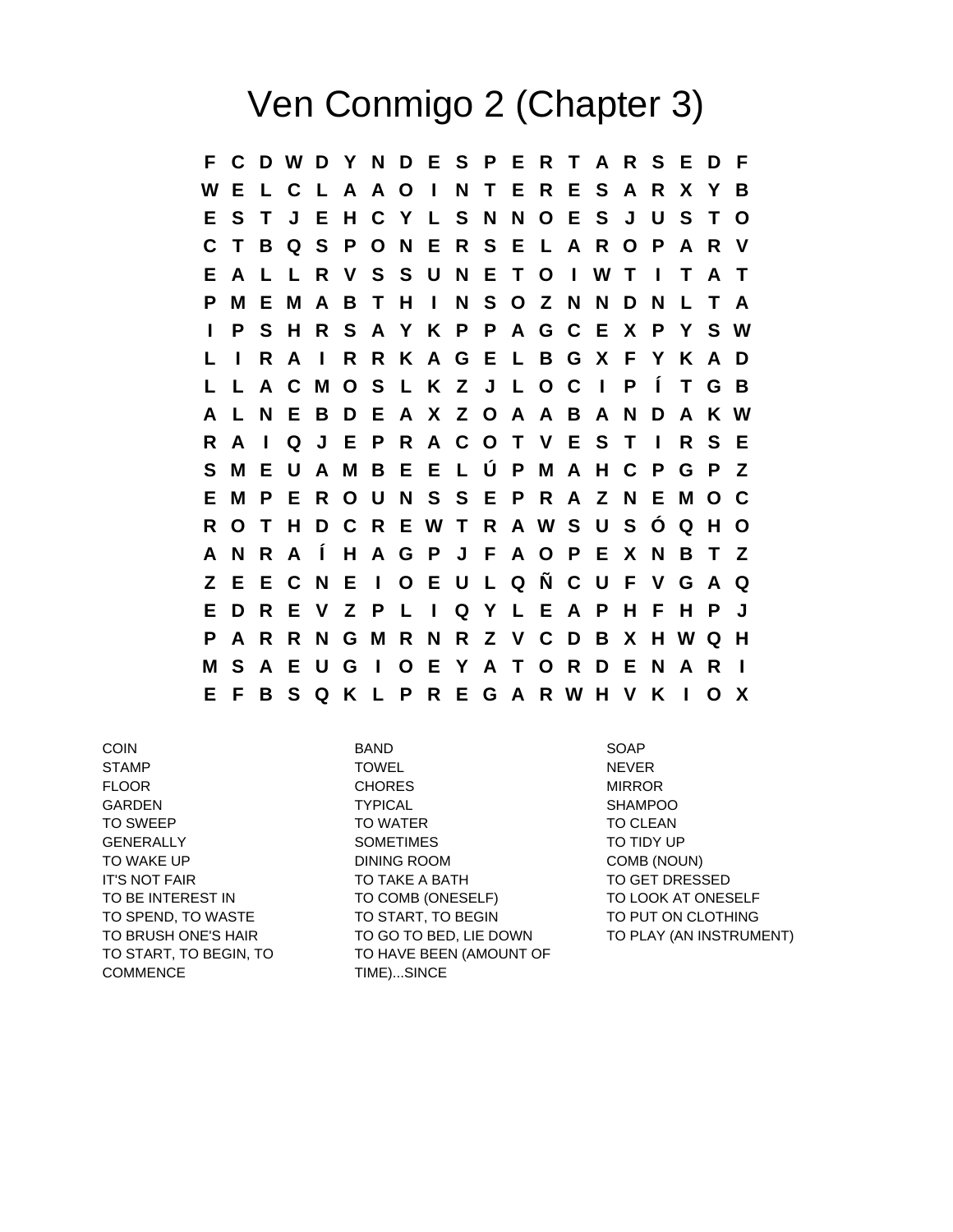## Ven Conmigo 2 (Chapter 3)

**F C D W D Y N D E S P E R T A R S E D F W E L C L A A O I N T E R E S A R X Y B E S T J E H C Y L S N N O E S J U S T O C T B Q S P O N E R S E L A R O P A R V E A L L R V S S U N E T O I W T I T A T P M E M A B T H I N S O Z N N D N L T A I P S H R S A Y K P P A G C E X P Y S W L I R A I R R K A G E L B G X F Y K A D L L A C M O S L K Z J L O C I P Í T G B A L N E B D E A X Z O A A B A N D A K W R A I Q J E P R A C O T V E S T I R S E S M E U A M B E E L Ú P M A H C P G P Z E M P E R O U N S S E P R A Z N E M O C R O T H D C R E W T R A W S U S Ó Q H O A N R A Í H A G P J F A O P E X N B T Z Z E E C N E I O E U L Q Ñ C U F V G A Q E D R E V Z P L I Q Y L E A P H F H P J P A R R N G M R N R Z V C D B X H W Q H M S A E U G I O E Y A T O R D E N A R I E F B S Q K L P R E G A R W H V K I O X**

TO START, TO BEGIN, TO **COMMENCE** 

COIN BAND SOAP STAMP TOWEL NEVER FLOOR CHORES MIRROR MIRROR GARDEN TYPICAL SHAMPOO TO SWEEP TO WATER TO WATER TO CLEAN GENERALLY SOMETIMES TO TIDY UP TO WAKE UP **DINING ROOM COMB** (NOUN) IT'S NOT FAIR TO TAKE A BATH TO GET DRESSED TO BE INTEREST IN TO COMB (ONESELF) TO LOOK AT ONESELF TO SPEND, TO WASTE TO START, TO BEGIN TO PUT ON CLOTHING TO HAVE BEEN (AMOUNT OF TIME)...SINCE

TO BRUSH ONE'S HAIR TO GO TO BED, LIE DOWN TO PLAY (AN INSTRUMENT)